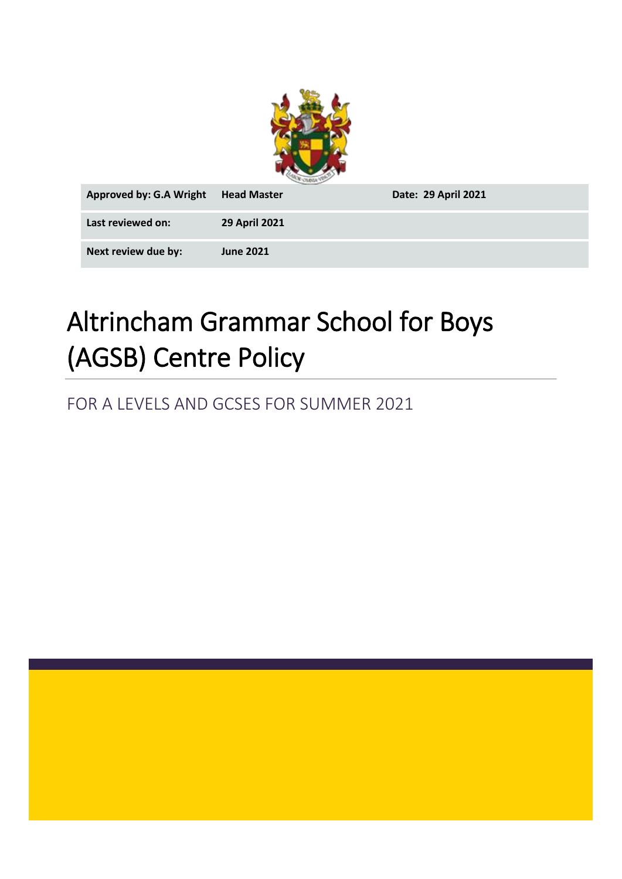

| <b>Approved by: G.A Wright</b> | <b>Head Master</b>   | Date: 29 April 2021 |
|--------------------------------|----------------------|---------------------|
| Last reviewed on:              | <b>29 April 2021</b> |                     |
| Next review due by:            | <b>June 2021</b>     |                     |

# Altrincham Grammar School for Boys (AGSB) Centre Policy

FOR A LEVELS AND GCSES FOR SUMMER 2021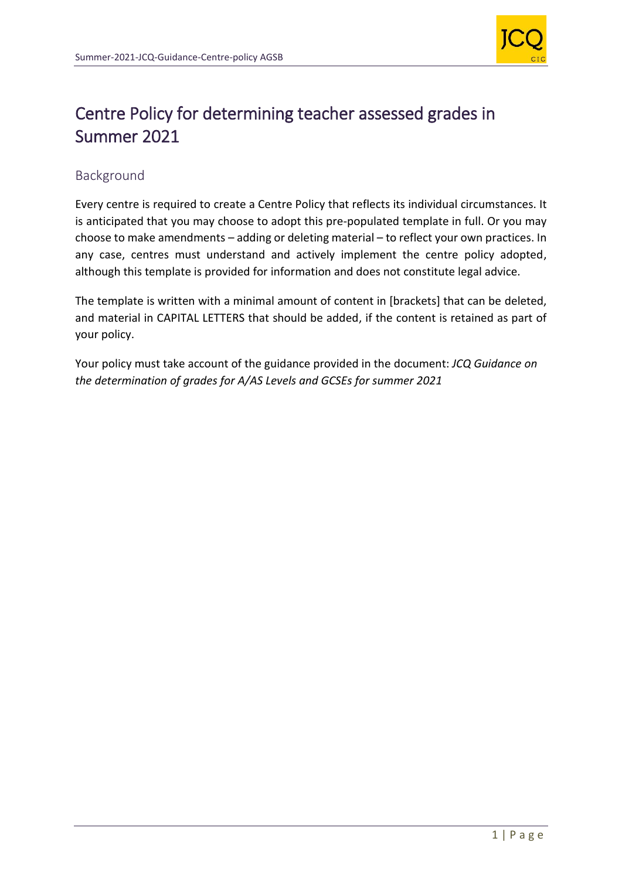

# Centre Policy for determining teacher assessed grades in Summer 2021

# Background

Every centre is required to create a Centre Policy that reflects its individual circumstances. It is anticipated that you may choose to adopt this pre-populated template in full. Or you may choose to make amendments – adding or deleting material – to reflect your own practices. In any case, centres must understand and actively implement the centre policy adopted, although this template is provided for information and does not constitute legal advice.

The template is written with a minimal amount of content in [brackets] that can be deleted, and material in CAPITAL LETTERS that should be added, if the content is retained as part of your policy.

Your policy must take account of the guidance provided in the document: *JCQ Guidance on the determination of grades for A/AS Levels and GCSEs for summer 2021*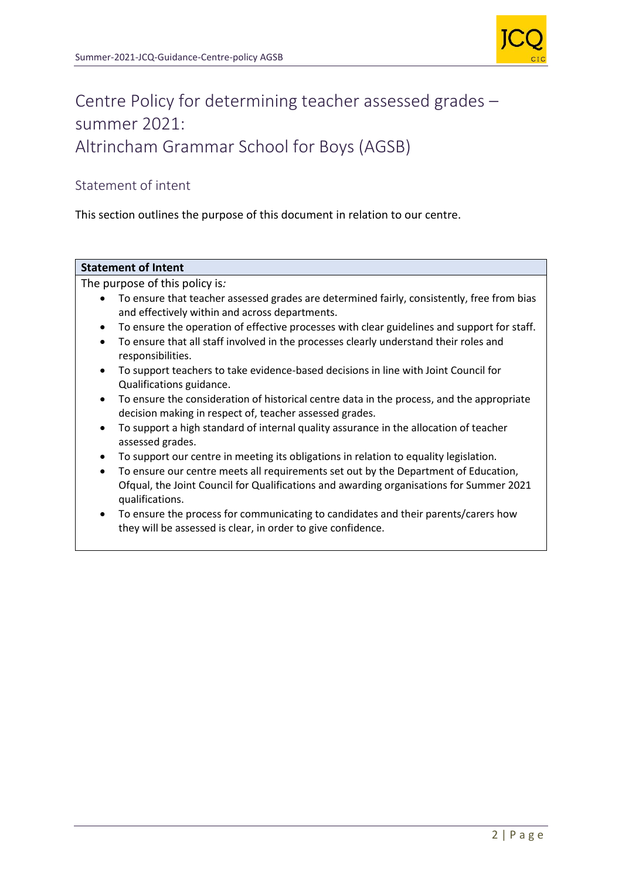

# Centre Policy for determining teacher assessed grades – summer 2021: Altrincham Grammar School for Boys (AGSB)

# Statement of intent

This section outlines the purpose of this document in relation to our centre.

# **Statement of Intent**

The purpose of this policy is*:*

- To ensure that teacher assessed grades are determined fairly, consistently, free from bias and effectively within and across departments.
- To ensure the operation of effective processes with clear guidelines and support for staff.
- To ensure that all staff involved in the processes clearly understand their roles and responsibilities.
- To support teachers to take evidence-based decisions in line with Joint Council for Qualifications guidance.
- To ensure the consideration of historical centre data in the process, and the appropriate decision making in respect of, teacher assessed grades.
- To support a high standard of internal quality assurance in the allocation of teacher assessed grades.
- To support our centre in meeting its obligations in relation to equality legislation.
- To ensure our centre meets all requirements set out by the Department of Education, Ofqual, the Joint Council for Qualifications and awarding organisations for Summer 2021 qualifications.
- To ensure the process for communicating to candidates and their parents/carers how they will be assessed is clear, in order to give confidence.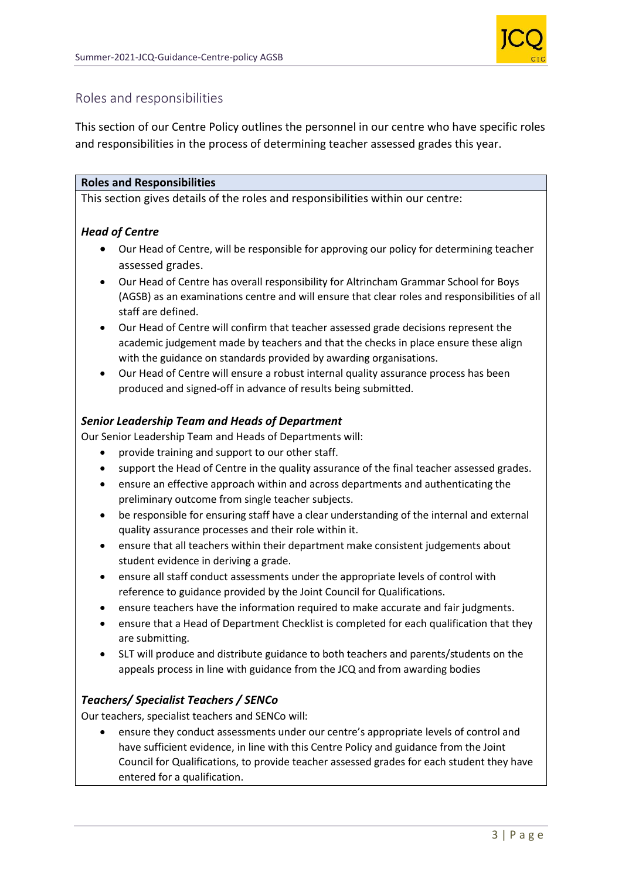

# Roles and responsibilities

This section of our Centre Policy outlines the personnel in our centre who have specific roles and responsibilities in the process of determining teacher assessed grades this year.

#### **Roles and Responsibilities**

This section gives details of the roles and responsibilities within our centre:

# *Head of Centre*

- Our Head of Centre, will be responsible for approving our policy for determining teacher assessed grades.
- Our Head of Centre has overall responsibility for Altrincham Grammar School for Boys (AGSB) as an examinations centre and will ensure that clear roles and responsibilities of all staff are defined.
- Our Head of Centre will confirm that teacher assessed grade decisions represent the academic judgement made by teachers and that the checks in place ensure these align with the guidance on standards provided by awarding organisations.
- Our Head of Centre will ensure a robust internal quality assurance process has been produced and signed-off in advance of results being submitted.

# *Senior Leadership Team and Heads of Department*

Our Senior Leadership Team and Heads of Departments will:

- provide training and support to our other staff.
- support the Head of Centre in the quality assurance of the final teacher assessed grades.
- ensure an effective approach within and across departments and authenticating the preliminary outcome from single teacher subjects.
- be responsible for ensuring staff have a clear understanding of the internal and external quality assurance processes and their role within it.
- ensure that all teachers within their department make consistent judgements about student evidence in deriving a grade.
- ensure all staff conduct assessments under the appropriate levels of control with reference to guidance provided by the Joint Council for Qualifications.
- ensure teachers have the information required to make accurate and fair judgments.
- ensure that a Head of Department Checklist is completed for each qualification that they are submitting.
- SLT will produce and distribute guidance to both teachers and parents/students on the appeals process in line with guidance from the JCQ and from awarding bodies

#### *Teachers/ Specialist Teachers / SENCo*

Our teachers, specialist teachers and SENCo will:

• ensure they conduct assessments under our centre's appropriate levels of control and have sufficient evidence, in line with this Centre Policy and guidance from the Joint Council for Qualifications, to provide teacher assessed grades for each student they have entered for a qualification.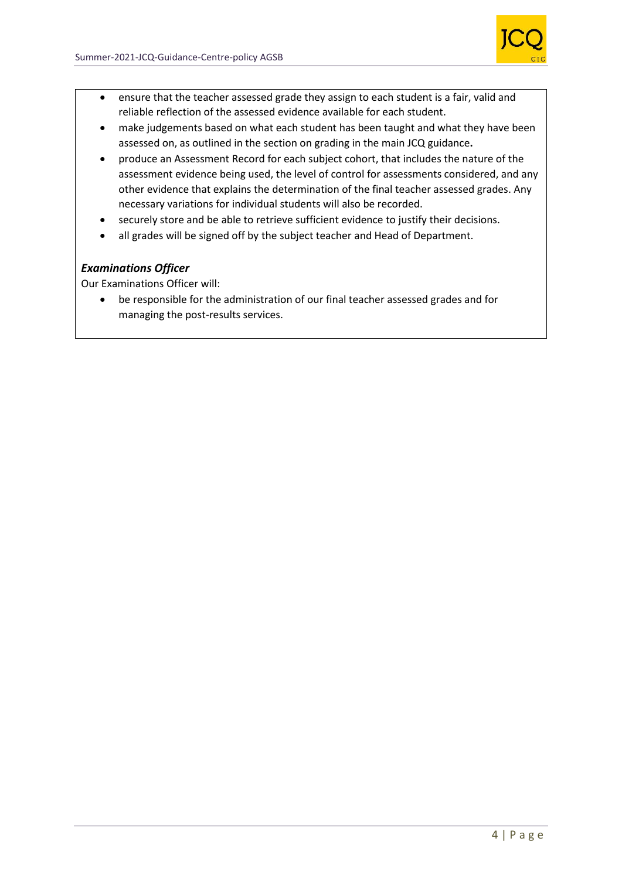

- ensure that the teacher assessed grade they assign to each student is a fair, valid and reliable reflection of the assessed evidence available for each student.
- make judgements based on what each student has been taught and what they have been assessed on, as outlined in the section on grading in the main JCQ guidance**.**
- produce an Assessment Record for each subject cohort, that includes the nature of the assessment evidence being used, the level of control for assessments considered, and any other evidence that explains the determination of the final teacher assessed grades. Any necessary variations for individual students will also be recorded.
- securely store and be able to retrieve sufficient evidence to justify their decisions.
- all grades will be signed off by the subject teacher and Head of Department.

# *Examinations Officer*

Our Examinations Officer will:

• be responsible for the administration of our final teacher assessed grades and for managing the post-results services.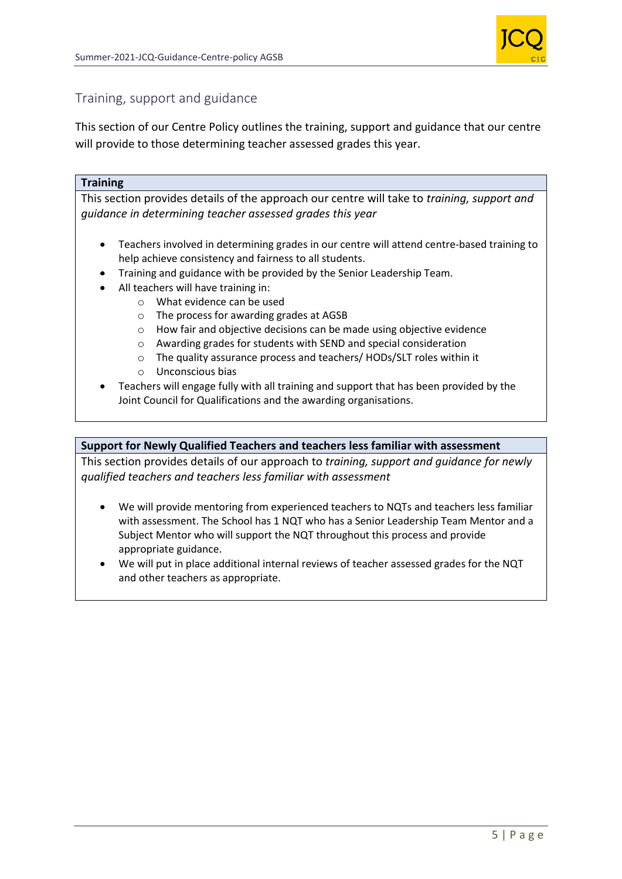

# Training, support and guidance

This section of our Centre Policy outlines the training, support and guidance that our centre will provide to those determining teacher assessed grades this year.

#### **Training**

This section provides details of the approach our centre will take to *training, support and guidance in determining teacher assessed grades this year*

- Teachers involved in determining grades in our centre will attend centre-based training to help achieve consistency and fairness to all students.
- Training and guidance with be provided by the Senior Leadership Team.
- All teachers will have training in:
	- o What evidence can be used
	- o The process for awarding grades at AGSB
	- o How fair and objective decisions can be made using objective evidence
	- o Awarding grades for students with SEND and special consideration
	- o The quality assurance process and teachers/ HODs/SLT roles within it
	- o Unconscious bias
- Teachers will engage fully with all training and support that has been provided by the Joint Council for Qualifications and the awarding organisations.

#### **Support for Newly Qualified Teachers and teachers less familiar with assessment**

This section provides details of our approach to *training, support and guidance for newly qualified teachers and teachers less familiar with assessment*

- We will provide mentoring from experienced teachers to NQTs and teachers less familiar with assessment. The School has 1 NQT who has a Senior Leadership Team Mentor and a Subject Mentor who will support the NQT throughout this process and provide appropriate guidance.
- We will put in place additional internal reviews of teacher assessed grades for the NQT and other teachers as appropriate.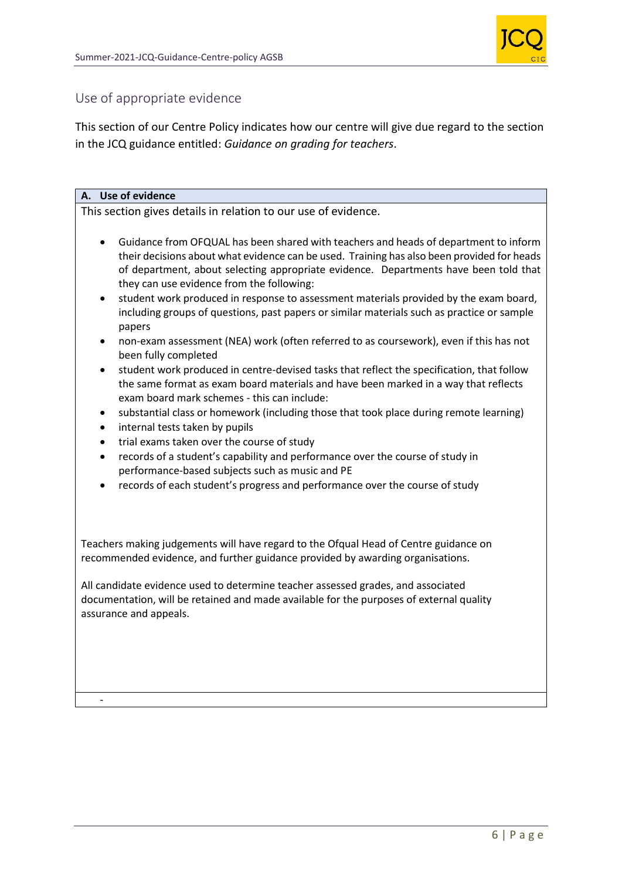

# Use of appropriate evidence

This section of our Centre Policy indicates how our centre will give due regard to the section in the JCQ guidance entitled: *Guidance on grading for teachers*.

#### **A. Use of evidence**

-

This section gives details in relation to our use of evidence.

- Guidance from OFQUAL has been shared with teachers and heads of department to inform their decisions about what evidence can be used. Training has also been provided for heads of department, about selecting appropriate evidence. Departments have been told that they can use evidence from the following:
- student work produced in response to assessment materials provided by the exam board, including groups of questions, past papers or similar materials such as practice or sample papers
- non-exam assessment (NEA) work (often referred to as coursework), even if this has not been fully completed
- student work produced in centre-devised tasks that reflect the specification, that follow the same format as exam board materials and have been marked in a way that reflects exam board mark schemes - this can include:
- substantial class or homework (including those that took place during remote learning)
- internal tests taken by pupils
- trial exams taken over the course of study
- records of a student's capability and performance over the course of study in performance-based subjects such as music and PE
- records of each student's progress and performance over the course of study

Teachers making judgements will have regard to the Ofqual Head of Centre guidance on recommended evidence, and further guidance provided by awarding organisations.

All candidate evidence used to determine teacher assessed grades, and associated documentation, will be retained and made available for the purposes of external quality assurance and appeals.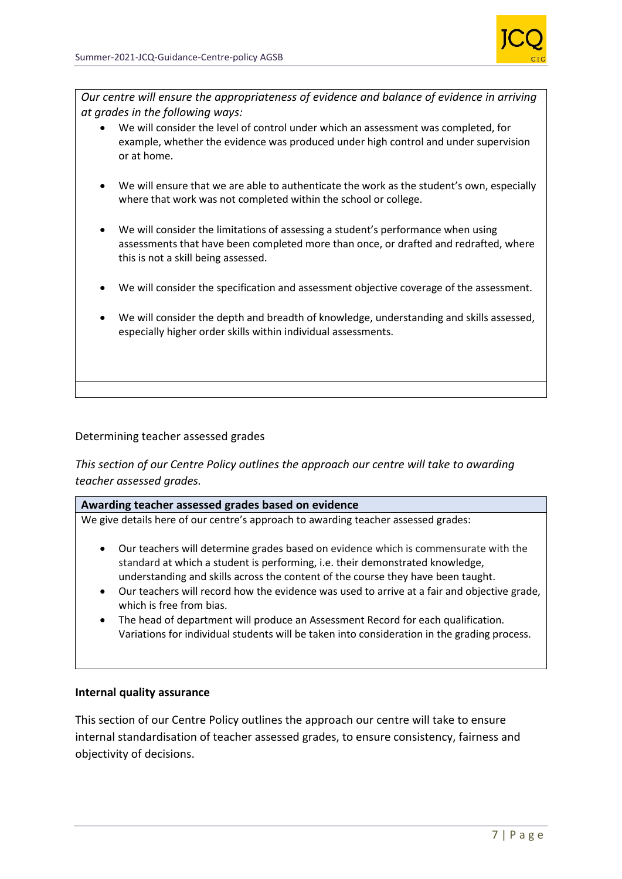

*Our centre will ensure the appropriateness of evidence and balance of evidence in arriving at grades in the following ways:*

- We will consider the level of control under which an assessment was completed, for example, whether the evidence was produced under high control and under supervision or at home.
- We will ensure that we are able to authenticate the work as the student's own, especially where that work was not completed within the school or college.
- We will consider the limitations of assessing a student's performance when using assessments that have been completed more than once, or drafted and redrafted, where this is not a skill being assessed.
- We will consider the specification and assessment objective coverage of the assessment.
- We will consider the depth and breadth of knowledge, understanding and skills assessed, especially higher order skills within individual assessments.

### Determining teacher assessed grades

*This section of our Centre Policy outlines the approach our centre will take to awarding teacher assessed grades.*

#### **Awarding teacher assessed grades based on evidence**

We give details here of our centre's approach to awarding teacher assessed grades:

- Our teachers will determine grades based on evidence which is commensurate with the standard at which a student is performing, i.e. their demonstrated knowledge, understanding and skills across the content of the course they have been taught.
- Our teachers will record how the evidence was used to arrive at a fair and objective grade, which is free from bias.
- The head of department will produce an Assessment Record for each qualification. Variations for individual students will be taken into consideration in the grading process.

#### **Internal quality assurance**

This section of our Centre Policy outlines the approach our centre will take to ensure internal standardisation of teacher assessed grades, to ensure consistency, fairness and objectivity of decisions.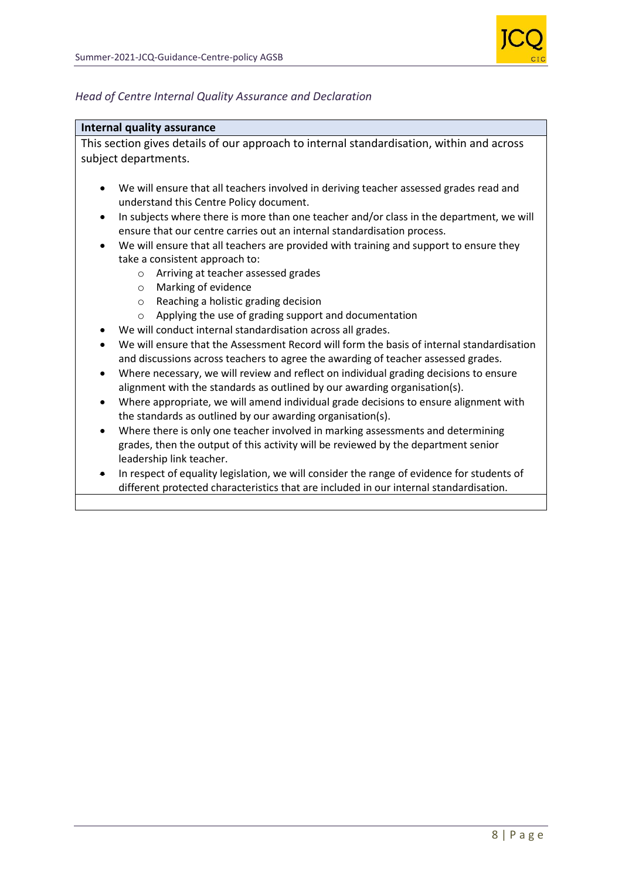

#### *Head of Centre Internal Quality Assurance and Declaration*

#### **Internal quality assurance**

This section gives details of our approach to internal standardisation, within and across subject departments.

- We will ensure that all teachers involved in deriving teacher assessed grades read and understand this Centre Policy document.
- In subjects where there is more than one teacher and/or class in the department, we will ensure that our centre carries out an internal standardisation process.
- We will ensure that all teachers are provided with training and support to ensure they take a consistent approach to:
	- o Arriving at teacher assessed grades
	- o Marking of evidence
	- o Reaching a holistic grading decision
	- o Applying the use of grading support and documentation
- We will conduct internal standardisation across all grades.
- We will ensure that the Assessment Record will form the basis of internal standardisation and discussions across teachers to agree the awarding of teacher assessed grades.
- Where necessary, we will review and reflect on individual grading decisions to ensure alignment with the standards as outlined by our awarding organisation(s).
- Where appropriate, we will amend individual grade decisions to ensure alignment with the standards as outlined by our awarding organisation(s).
- Where there is only one teacher involved in marking assessments and determining grades, then the output of this activity will be reviewed by the department senior leadership link teacher.
- In respect of equality legislation, we will consider the range of evidence for students of different protected characteristics that are included in our internal standardisation.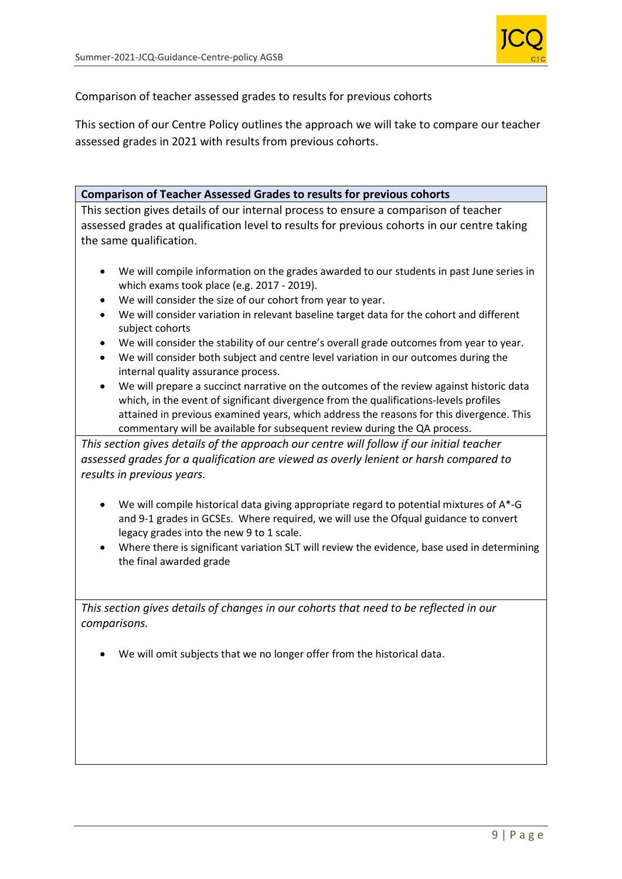

Comparison of teacher assessed grades to results for previous cohorts

This section of our Centre Policy outlines the approach we will take to compare our teacher assessed grades in 2021 with results from previous cohorts.

#### **Comparison of Teacher Assessed Grades to results for previous cohorts**

This section gives details of our internal process to ensure a comparison of teacher assessed grades at qualification level to results for previous cohorts in our centre taking the same qualification.

- We will compile information on the grades awarded to our students in past June series in which exams took place (e.g. 2017 - 2019).
- We will consider the size of our cohort from year to year.
- We will consider variation in relevant baseline target data for the cohort and different subject cohorts
- We will consider the stability of our centre's overall grade outcomes from year to year.
- We will consider both subject and centre level variation in our outcomes during the internal quality assurance process.
- We will prepare a succinct narrative on the outcomes of the review against historic data which, in the event of significant divergence from the qualifications-levels profiles attained in previous examined years, which address the reasons for this divergence. This commentary will be available for subsequent review during the QA process.

*This section gives details of the approach our centre will follow if our initial teacher assessed grades for a qualification are viewed as overly lenient or harsh compared to results in previous years.*

- We will compile historical data giving appropriate regard to potential mixtures of A\*-G and 9-1 grades in GCSEs. Where required, we will use the Ofqual guidance to convert legacy grades into the new 9 to 1 scale.
- Where there is significant variation SLT will review the evidence, base used in determining the final awarded grade

*This section gives details of changes in our cohorts that need to be reflected in our comparisons.* 

• We will omit subjects that we no longer offer from the historical data.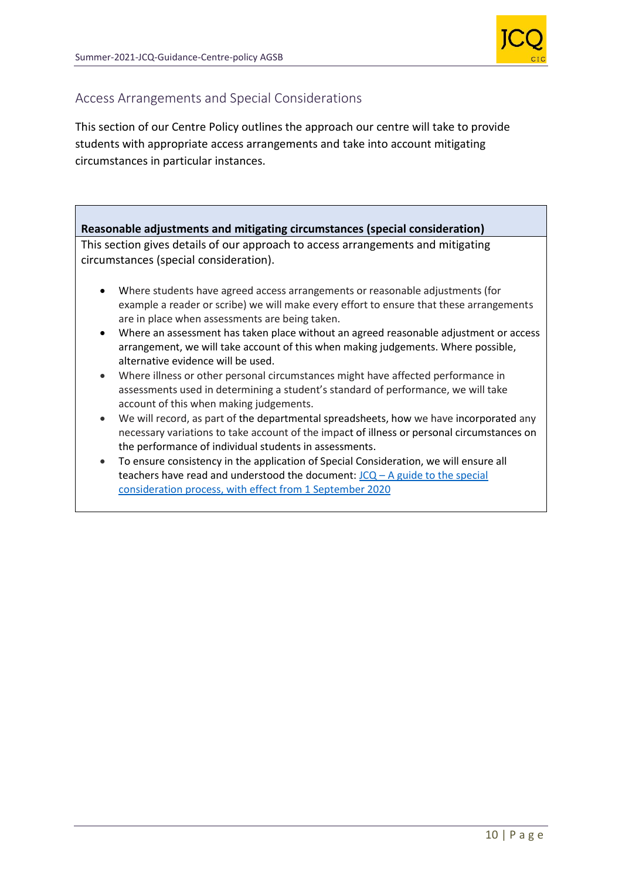

# Access Arrangements and Special Considerations

This section of our Centre Policy outlines the approach our centre will take to provide students with appropriate access arrangements and take into account mitigating circumstances in particular instances.

# **Reasonable adjustments and mitigating circumstances (special consideration)**

This section gives details of our approach to access arrangements and mitigating circumstances (special consideration).

- Where students have agreed access arrangements or reasonable adjustments (for example a reader or scribe) we will make every effort to ensure that these arrangements are in place when assessments are being taken.
- Where an assessment has taken place without an agreed reasonable adjustment or access arrangement, we will take account of this when making judgements. Where possible, alternative evidence will be used.
- Where illness or other personal circumstances might have affected performance in assessments used in determining a student's standard of performance, we will take account of this when making judgements.
- We will record, as part of the departmental spreadsheets, how we have incorporated any necessary variations to take account of the impact of illness or personal circumstances on the performance of individual students in assessments.
- To ensure consistency in the application of Special Consideration, we will ensure all teachers have read and understood the document:  $JCQ - A$  guide to the special [consideration process, with effect from 1 September 2020](https://www.jcq.org.uk/wp-content/uploads/2020/08/A-guide-to-the-spec-con-process-202021-Website-version.pdf)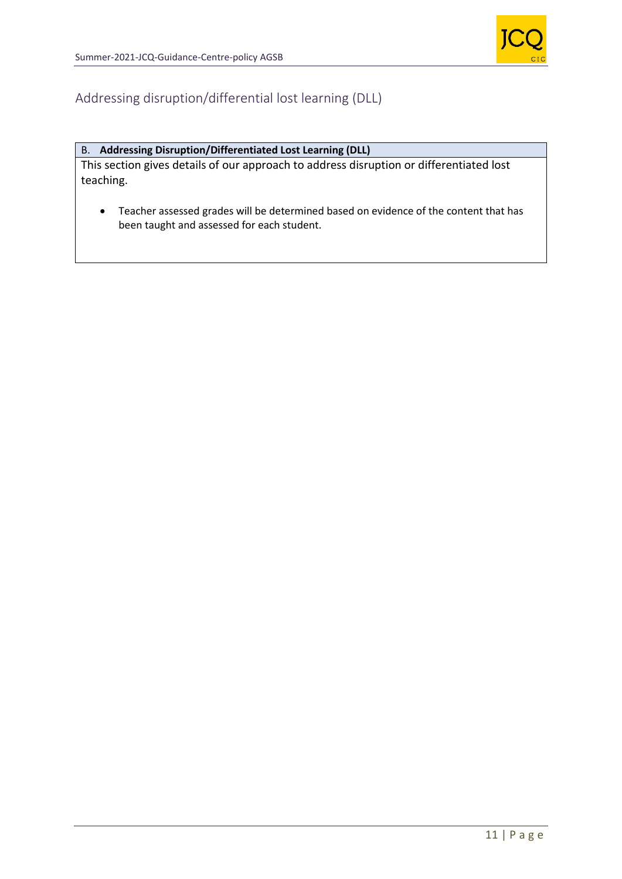

# Addressing disruption/differential lost learning (DLL)

# B. **Addressing Disruption/Differentiated Lost Learning (DLL)**

This section gives details of our approach to address disruption or differentiated lost teaching.

• Teacher assessed grades will be determined based on evidence of the content that has been taught and assessed for each student.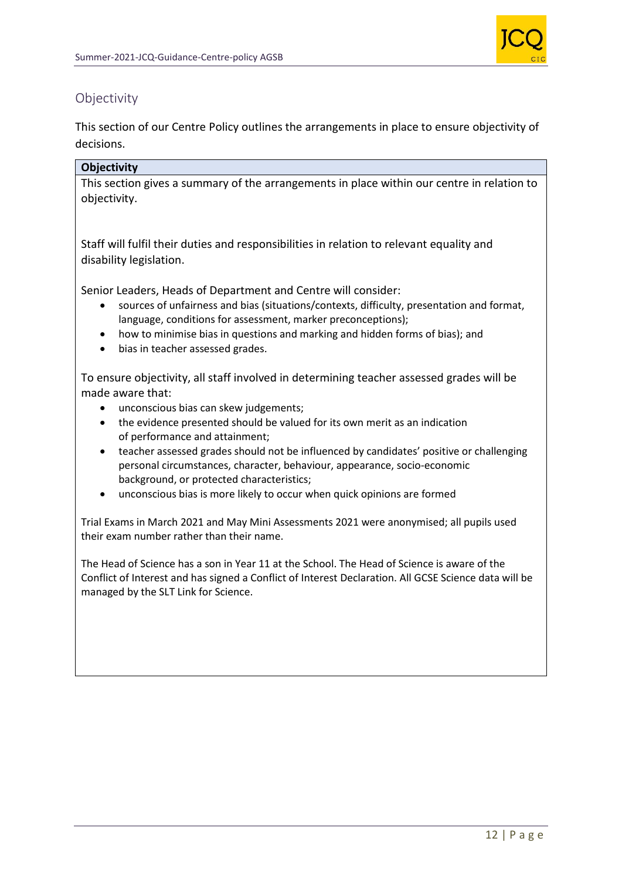

# **Objectivity**

This section of our Centre Policy outlines the arrangements in place to ensure objectivity of decisions.

# **Objectivity**

This section gives a summary of the arrangements in place within our centre in relation to objectivity.

Staff will fulfil their duties and responsibilities in relation to relevant equality and disability legislation.

Senior Leaders, Heads of Department and Centre will consider:

- sources of unfairness and bias (situations/contexts, difficulty, presentation and format, language, conditions for assessment, marker preconceptions);
- how to minimise bias in questions and marking and hidden forms of bias); and
- bias in teacher assessed grades.

To ensure objectivity, all staff involved in determining teacher assessed grades will be made aware that:

- unconscious bias can skew judgements;
- the evidence presented should be valued for its own merit as an indication of performance and attainment;
- teacher assessed grades should not be influenced by candidates' positive or challenging personal circumstances, character, behaviour, appearance, socio-economic background, or protected characteristics;
- unconscious bias is more likely to occur when quick opinions are formed

Trial Exams in March 2021 and May Mini Assessments 2021 were anonymised; all pupils used their exam number rather than their name.

The Head of Science has a son in Year 11 at the School. The Head of Science is aware of the Conflict of Interest and has signed a Conflict of Interest Declaration. All GCSE Science data will be managed by the SLT Link for Science.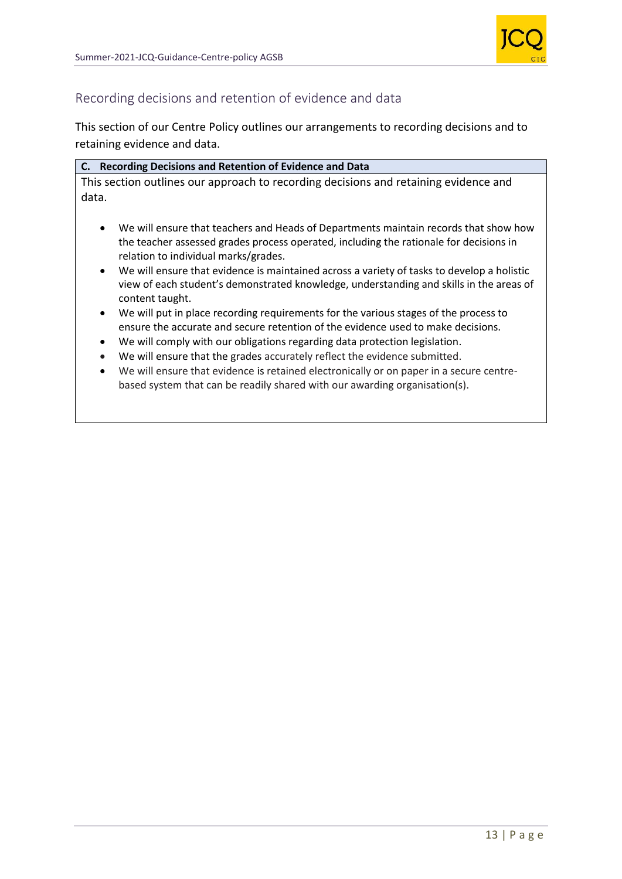

# Recording decisions and retention of evidence and data

This section of our Centre Policy outlines our arrangements to recording decisions and to retaining evidence and data.

|       | C. Recording Decisions and Retention of Evidence and Data                            |  |
|-------|--------------------------------------------------------------------------------------|--|
|       | This section outlines our approach to recording decisions and retaining evidence and |  |
| data. |                                                                                      |  |

- We will ensure that teachers and Heads of Departments maintain records that show how the teacher assessed grades process operated, including the rationale for decisions in relation to individual marks/grades.
- We will ensure that evidence is maintained across a variety of tasks to develop a holistic view of each student's demonstrated knowledge, understanding and skills in the areas of content taught.
- We will put in place recording requirements for the various stages of the process to ensure the accurate and secure retention of the evidence used to make decisions.
- We will comply with our obligations regarding data protection legislation.
- We will ensure that the grades accurately reflect the evidence submitted.
- We will ensure that evidence is retained electronically or on paper in a secure centrebased system that can be readily shared with our awarding organisation(s).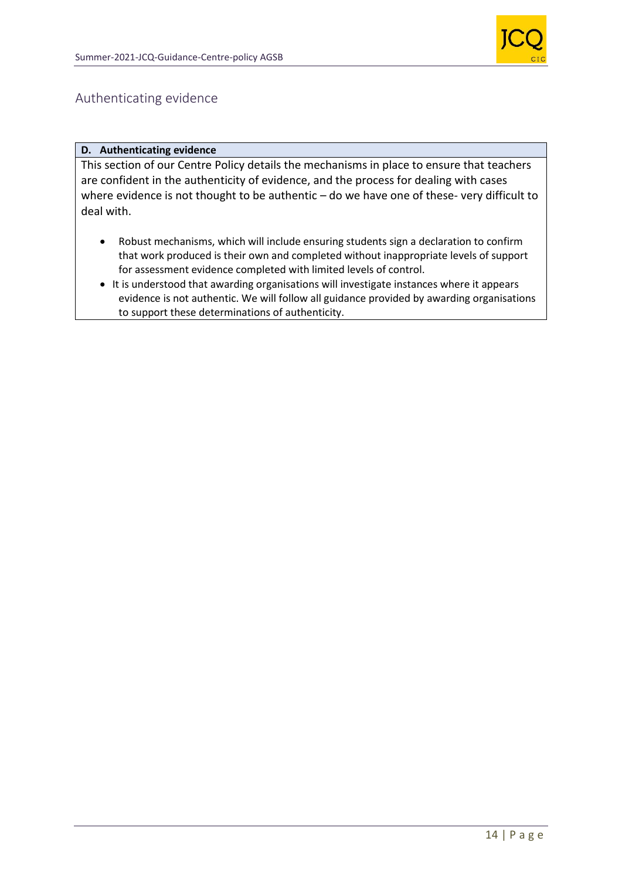

# Authenticating evidence

#### **D. Authenticating evidence**

This section of our Centre Policy details the mechanisms in place to ensure that teachers are confident in the authenticity of evidence, and the process for dealing with cases where evidence is not thought to be authentic – do we have one of these- very difficult to deal with.

- Robust mechanisms, which will include ensuring students sign a declaration to confirm that work produced is their own and completed without inappropriate levels of support for assessment evidence completed with limited levels of control.
- It is understood that awarding organisations will investigate instances where it appears evidence is not authentic. We will follow all guidance provided by awarding organisations to support these determinations of authenticity.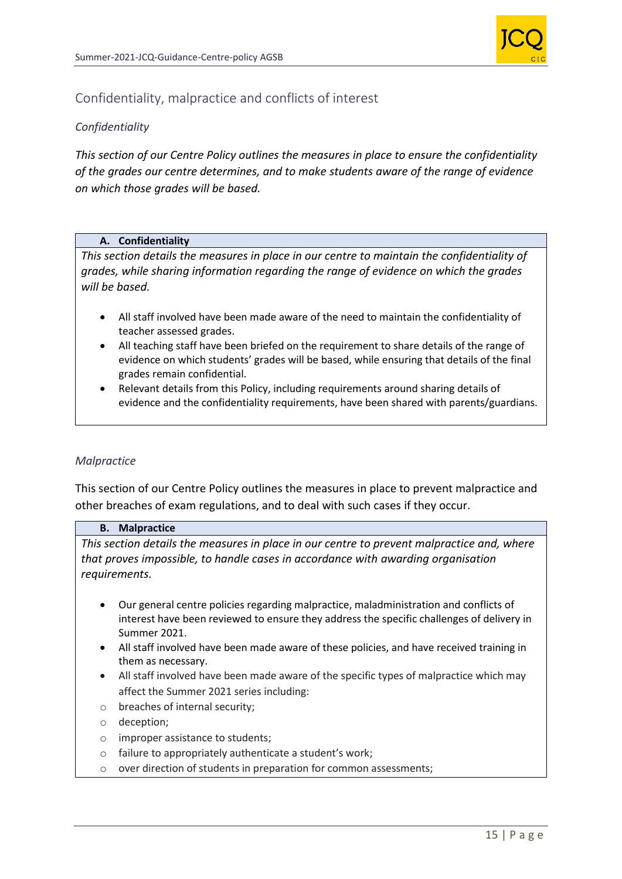

# Confidentiality, malpractice and conflicts of interest

# *Confidentiality*

*This section of our Centre Policy outlines the measures in place to ensure the confidentiality of the grades our centre determines, and to make students aware of the range of evidence on which those grades will be based.*

#### **A. Confidentiality**

*This section details the measures in place in our centre to maintain the confidentiality of grades, while sharing information regarding the range of evidence on which the grades will be based.* 

- All staff involved have been made aware of the need to maintain the confidentiality of teacher assessed grades.
- All teaching staff have been briefed on the requirement to share details of the range of evidence on which students' grades will be based, while ensuring that details of the final grades remain confidential.
- Relevant details from this Policy, including requirements around sharing details of evidence and the confidentiality requirements, have been shared with parents/guardians.

#### *Malpractice*

This section of our Centre Policy outlines the measures in place to prevent malpractice and other breaches of exam regulations, and to deal with such cases if they occur.

#### **B. Malpractice**

*This section details the measures in place in our centre to prevent malpractice and, where that proves impossible, to handle cases in accordance with awarding organisation requirements.*

- Our general centre policies regarding malpractice, maladministration and conflicts of interest have been reviewed to ensure they address the specific challenges of delivery in Summer 2021.
- All staff involved have been made aware of these policies, and have received training in them as necessary.
- All staff involved have been made aware of the specific types of malpractice which may affect the Summer 2021 series including:
- o breaches of internal security;
- o deception;
- o improper assistance to students;
- o failure to appropriately authenticate a student's work;
- o over direction of students in preparation for common assessments;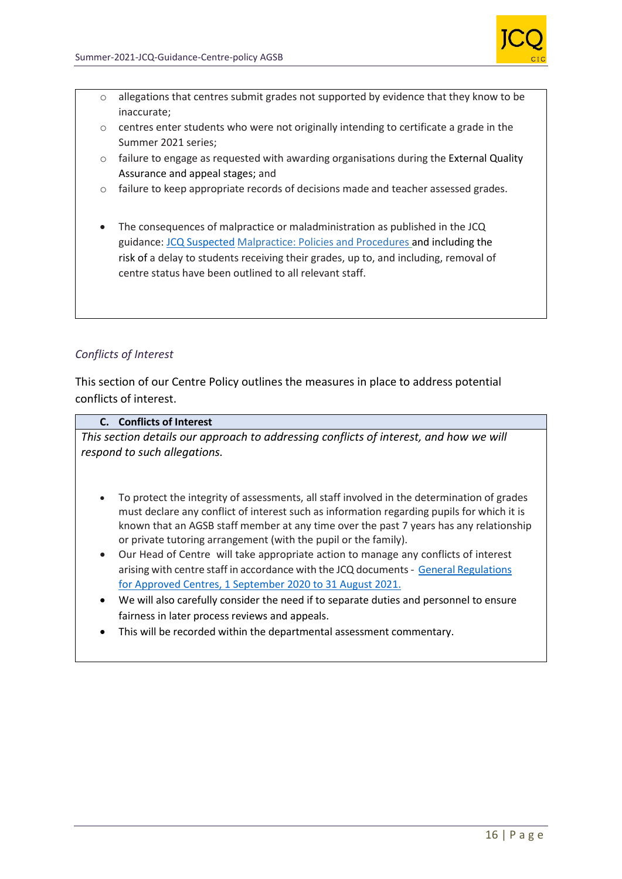

- o allegations that centres submit grades not supported by evidence that they know to be inaccurate;
- $\circ$  centres enter students who were not originally intending to certificate a grade in the Summer 2021 series;
- $\circ$  failure to engage as requested with awarding organisations during the External Quality Assurance and appeal stages; and
- $\circ$  failure to keep appropriate records of decisions made and teacher assessed grades.
- The consequences of malpractice or maladministration as published in the JCQ guidance: [JCQ Suspected](https://www.jcq.org.uk/exams-office/malpractice/jcq-suspected-malpractice-policies-and-procedures-2019-2020) Malpractice: Policies and Procedures and including the risk of a delay to students receiving their grades, up to, and including, removal of centre status have been outlined to all relevant staff.

# *Conflicts of Interest*

This section of our Centre Policy outlines the measures in place to address potential conflicts of interest.

#### **C. Conflicts of Interest**

*This section details our approach to addressing conflicts of interest, and how we will respond to such allegations.*

- To protect the integrity of assessments, all staff involved in the determination of grades must declare any conflict of interest such as information regarding pupils for which it is known that an AGSB staff member at any time over the past 7 years has any relationship or private tutoring arrangement (with the pupil or the family).
- Our Head of Centre will take appropriate action to manage any conflicts of interest arising with centre staff in accordance with the JCQ documents- [General Regulations](https://www.jcq.org.uk/wp-content/uploads/2020/09/Gen_regs_approved_centres_20-21_FINAL.pdf)  [for Approved Centres, 1 September](https://www.jcq.org.uk/wp-content/uploads/2020/09/Gen_regs_approved_centres_20-21_FINAL.pdf) 2020 to 31 August 2021.
- We will also carefully consider the need if to separate duties and personnel to ensure fairness in later process reviews and appeals.
- This will be recorded within the departmental assessment commentary.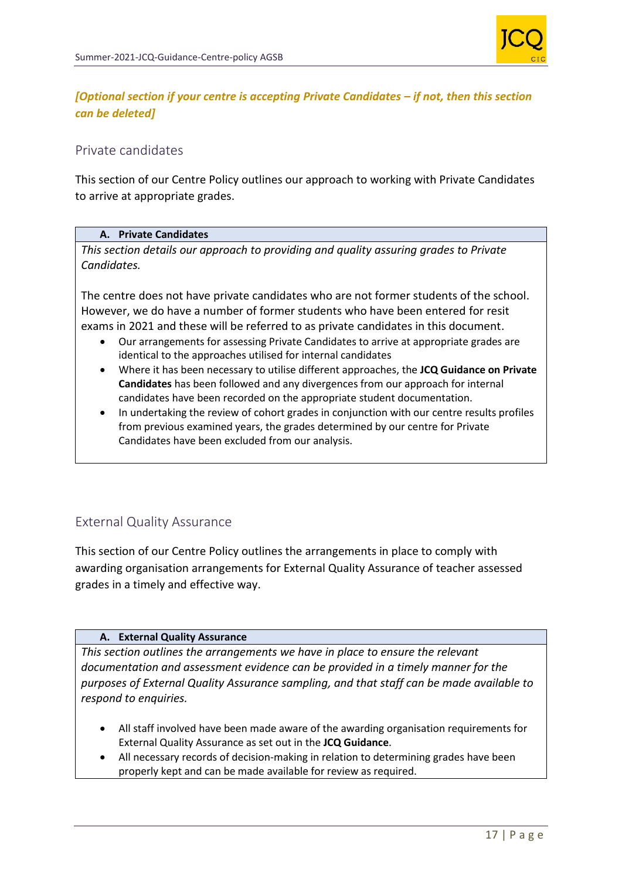

# *[Optional section if your centre is accepting Private Candidates – if not, then this section can be deleted]*

# Private candidates

This section of our Centre Policy outlines our approach to working with Private Candidates to arrive at appropriate grades.

#### **A. Private Candidates**

*This section details our approach to providing and quality assuring grades to Private Candidates.*

The centre does not have private candidates who are not former students of the school. However, we do have a number of former students who have been entered for resit exams in 2021 and these will be referred to as private candidates in this document.

- Our arrangements for assessing Private Candidates to arrive at appropriate grades are identical to the approaches utilised for internal candidates
- Where it has been necessary to utilise different approaches, the **JCQ Guidance on Private Candidates** has been followed and any divergences from our approach for internal candidates have been recorded on the appropriate student documentation.
- In undertaking the review of cohort grades in conjunction with our centre results profiles from previous examined years, the grades determined by our centre for Private Candidates have been excluded from our analysis.

# External Quality Assurance

This section of our Centre Policy outlines the arrangements in place to comply with awarding organisation arrangements for External Quality Assurance of teacher assessed grades in a timely and effective way.

#### **A. External Quality Assurance**

*This section outlines the arrangements we have in place to ensure the relevant documentation and assessment evidence can be provided in a timely manner for the purposes of External Quality Assurance sampling, and that staff can be made available to respond to enquiries.*

- All staff involved have been made aware of the awarding organisation requirements for External Quality Assurance as set out in the **JCQ Guidance**.
- All necessary records of decision-making in relation to determining grades have been properly kept and can be made available for review as required.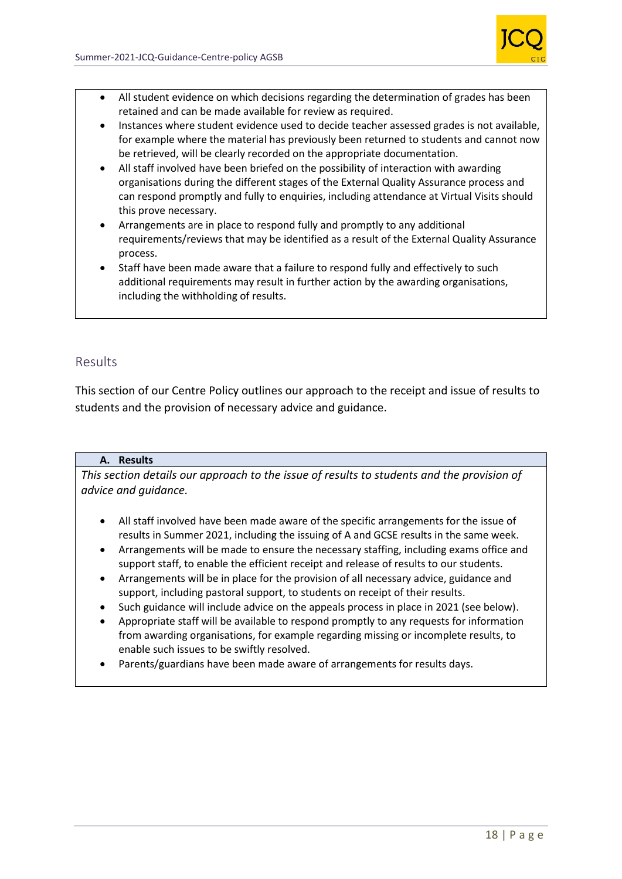

- All student evidence on which decisions regarding the determination of grades has been retained and can be made available for review as required.
- Instances where student evidence used to decide teacher assessed grades is not available, for example where the material has previously been returned to students and cannot now be retrieved, will be clearly recorded on the appropriate documentation.
- All staff involved have been briefed on the possibility of interaction with awarding organisations during the different stages of the External Quality Assurance process and can respond promptly and fully to enquiries, including attendance at Virtual Visits should this prove necessary.
- Arrangements are in place to respond fully and promptly to any additional requirements/reviews that may be identified as a result of the External Quality Assurance process.
- Staff have been made aware that a failure to respond fully and effectively to such additional requirements may result in further action by the awarding organisations, including the withholding of results.

# Results

This section of our Centre Policy outlines our approach to the receipt and issue of results to students and the provision of necessary advice and guidance.

#### **A. Results**

*This section details our approach to the issue of results to students and the provision of advice and guidance.*

- All staff involved have been made aware of the specific arrangements for the issue of results in Summer 2021, including the issuing of A and GCSE results in the same week.
- Arrangements will be made to ensure the necessary staffing, including exams office and support staff, to enable the efficient receipt and release of results to our students.
- Arrangements will be in place for the provision of all necessary advice, guidance and support, including pastoral support, to students on receipt of their results.
- Such guidance will include advice on the appeals process in place in 2021 (see below).
- Appropriate staff will be available to respond promptly to any requests for information from awarding organisations, for example regarding missing or incomplete results, to enable such issues to be swiftly resolved.
- Parents/guardians have been made aware of arrangements for results days.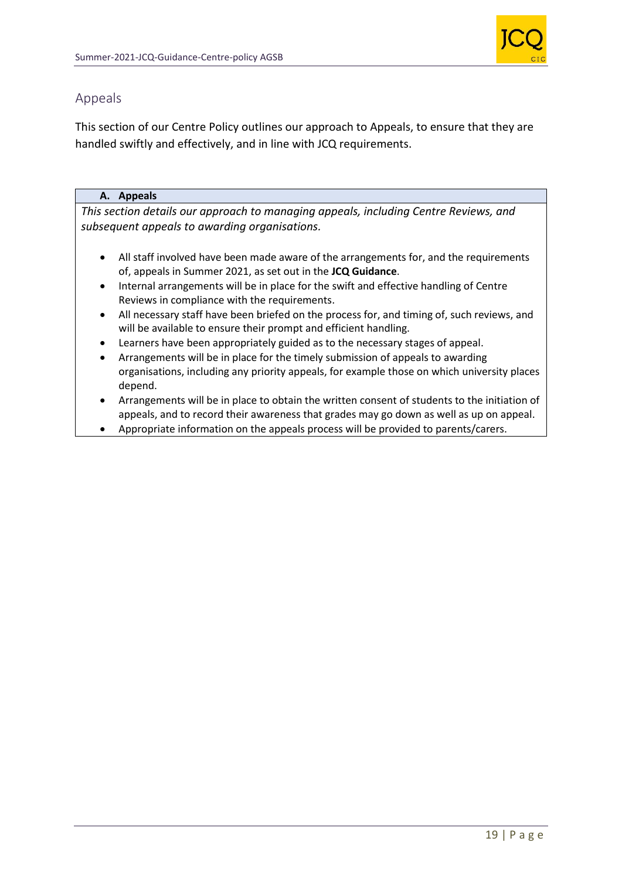

# Appeals

This section of our Centre Policy outlines our approach to Appeals, to ensure that they are handled swiftly and effectively, and in line with JCQ requirements.

# **A. Appeals**

*This section details our approach to managing appeals, including Centre Reviews, and subsequent appeals to awarding organisations.*

- All staff involved have been made aware of the arrangements for, and the requirements of, appeals in Summer 2021, as set out in the **JCQ Guidance**.
- Internal arrangements will be in place for the swift and effective handling of Centre Reviews in compliance with the requirements.
- All necessary staff have been briefed on the process for, and timing of, such reviews, and will be available to ensure their prompt and efficient handling.
- Learners have been appropriately guided as to the necessary stages of appeal.
- Arrangements will be in place for the timely submission of appeals to awarding organisations, including any priority appeals, for example those on which university places depend.
- Arrangements will be in place to obtain the written consent of students to the initiation of appeals, and to record their awareness that grades may go down as well as up on appeal.
- Appropriate information on the appeals process will be provided to parents/carers.